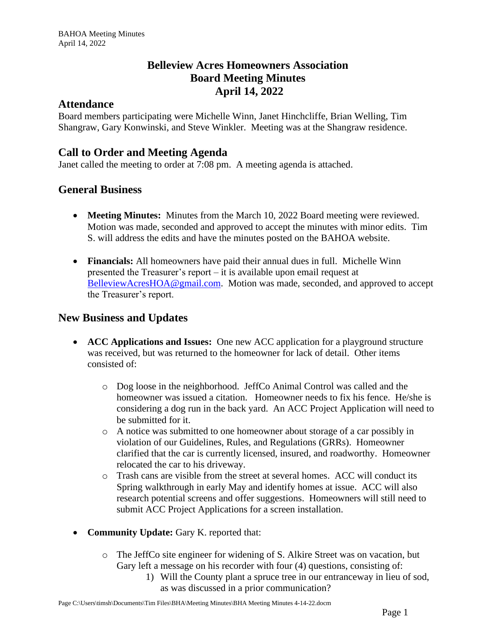# **Belleview Acres Homeowners Association Board Meeting Minutes April 14, 2022**

#### **Attendance**

Board members participating were Michelle Winn, Janet Hinchcliffe, Brian Welling, Tim Shangraw, Gary Konwinski, and Steve Winkler. Meeting was at the Shangraw residence.

# **Call to Order and Meeting Agenda**

Janet called the meeting to order at 7:08 pm. A meeting agenda is attached.

## **General Business**

- **Meeting Minutes:** Minutes from the March 10, 2022 Board meeting were reviewed. Motion was made, seconded and approved to accept the minutes with minor edits. Tim S. will address the edits and have the minutes posted on the BAHOA website.
- **Financials:** All homeowners have paid their annual dues in full. Michelle Winn presented the Treasurer's report – it is available upon email request at [BelleviewAcresHOA@gmail.com.](mailto:BelleviewAcresHOA@gmail.com) Motion was made, seconded, and approved to accept the Treasurer's report.

### **New Business and Updates**

- **ACC Applications and Issues:** One new ACC application for a playground structure was received, but was returned to the homeowner for lack of detail. Other items consisted of:
	- o Dog loose in the neighborhood. JeffCo Animal Control was called and the homeowner was issued a citation. Homeowner needs to fix his fence. He/she is considering a dog run in the back yard. An ACC Project Application will need to be submitted for it.
	- o A notice was submitted to one homeowner about storage of a car possibly in violation of our Guidelines, Rules, and Regulations (GRRs). Homeowner clarified that the car is currently licensed, insured, and roadworthy. Homeowner relocated the car to his driveway.
	- o Trash cans are visible from the street at several homes. ACC will conduct its Spring walkthrough in early May and identify homes at issue. ACC will also research potential screens and offer suggestions. Homeowners will still need to submit ACC Project Applications for a screen installation.
- **Community Update:** Gary K. reported that:
	- o The JeffCo site engineer for widening of S. Alkire Street was on vacation, but Gary left a message on his recorder with four (4) questions, consisting of:
		- 1) Will the County plant a spruce tree in our entranceway in lieu of sod, as was discussed in a prior communication?